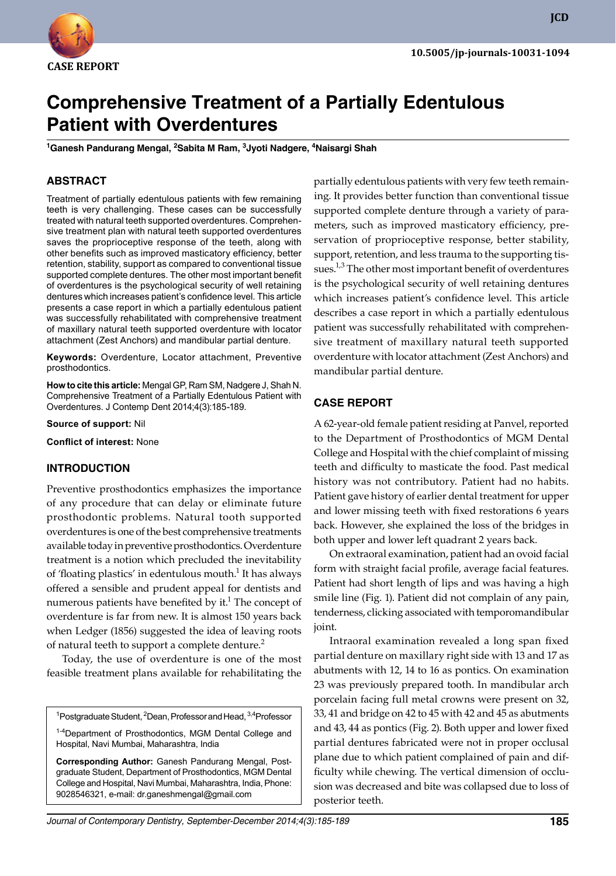

**JCD**

# **Comprehensive Treatment of a Partially Edentulous Patient with Overdentures**

**<sup>1</sup>Ganesh Pandurang Mengal, 2Sabita M Ram, 3Jyoti Nadgere, 4Naisargi Shah**

# **ABSTRACT**

Treatment of partially edentulous patients with few remaining teeth is very challenging. These cases can be successfully treated with natural teeth supported overdentures. Comprehensive treatment plan with natural teeth supported overdentures saves the proprioceptive response of the teeth, along with other benefits such as improved masticatory efficiency, better retention, stability, support as compared to conventional tissue supported complete dentures. The other most important benefit of overdentures is the psychological security of well retaining dentures which increases patient's confidence level. This article presents a case report in which a partially edentulous patient was successfully rehabilitated with comprehensive treatment of maxillary natural teeth supported overdenture with locator attachment (Zest Anchors) and mandibular partial denture.

**Keywords:** Overdenture, Locator attachment, Preventive prosthodontics.

**How to cite this article:** Mengal GP, Ram SM, Nadgere J, Shah N. Comprehensive Treatment of a Partially Edentulous Patient with Overdentures. J Contemp Dent 2014;4(3):185-189.

**Source of support:** Nil

**Conflict of interest:** None

# **INTROduCTION**

Preventive prosthodontics emphasizes the importance of any procedure that can delay or eliminate future prosthodontic problems. Natural tooth supported overdentures is one of the best comprehensive treatments available today in preventive prosthodontics. Overdenture treatment is a notion which precluded the inevitability of 'floating plastics' in edentulous mouth.<sup>1</sup> It has always offered a sensible and prudent appeal for dentists and numerous patients have benefited by it.<sup>1</sup> The concept of overdenture is far from new. It is almost 150 years back when Ledger (1856) suggested the idea of leaving roots of natural teeth to support a complete denture.<sup>2</sup>

Today, the use of overdenture is one of the most feasible treatment plans available for rehabilitating the

<sup>1</sup>Postgraduate Student, <sup>2</sup>Dean, Professor and Head, <sup>3,4</sup>Professor

<sup>1-4</sup>Department of Prosthodontics, MGM Dental College and Hospital, Navi Mumbai, Maharashtra, India

**Corresponding Author:** Ganesh Pandurang Mengal, Postgraduate Student, Department of Prosthodontics, MGM Dental College and Hospital, Navi Mumbai, Maharashtra, India, Phone: 9028546321, e-mail: dr.ganeshmengal@gmail.com

partially edentulous patients with very few teeth remaining. It provides better function than conventional tissue supported complete denture through a variety of parameters, such as improved masticatory efficiency, preservation of proprioceptive response, better stability, support, retention, and less trauma to the supporting tissues.<sup>1,3</sup> The other most important benefit of overdentures is the psychological security of well retaining dentures which increases patient's confidence level. This article describes a case report in which a partially edentulous patient was successfully rehabilitated with comprehensive treatment of maxillary natural teeth supported overdenture with locator attachment (Zest Anchors) and mandibular partial denture.

#### **CASE REPORT**

A 62-year-old female patient residing at Panvel, reported to the Department of Prosthodontics of MGM Dental College and Hospital with the chief complaint of missing teeth and difficulty to masticate the food. Past medical history was not contributory. Patient had no habits. Patient gave history of earlier dental treatment for upper and lower missing teeth with fixed restorations 6 years back. However, she explained the loss of the bridges in both upper and lower left quadrant 2 years back.

On extraoral examination, patient had an ovoid facial form with straight facial profile, average facial features. Patient had short length of lips and was having a high smile line (Fig. 1). Patient did not complain of any pain, tenderness, clicking associated with temporomandibular joint.

Intraoral examination revealed a long span fixed partial denture on maxillary right side with 13 and 17 as abutments with 12, 14 to 16 as pontics. On examination 23 was previously prepared tooth. In mandibular arch porcelain facing full metal crowns were present on 32, 33, 41 and bridge on 42 to 45 with 42 and 45 as abutments and 43, 44 as pontics (Fig. 2). Both upper and lower fixed partial dentures fabricated were not in proper occlusal plane due to which patient complained of pain and difficulty while chewing. The vertical dimension of occlusion was decreased and bite was collapsed due to loss of posterior teeth.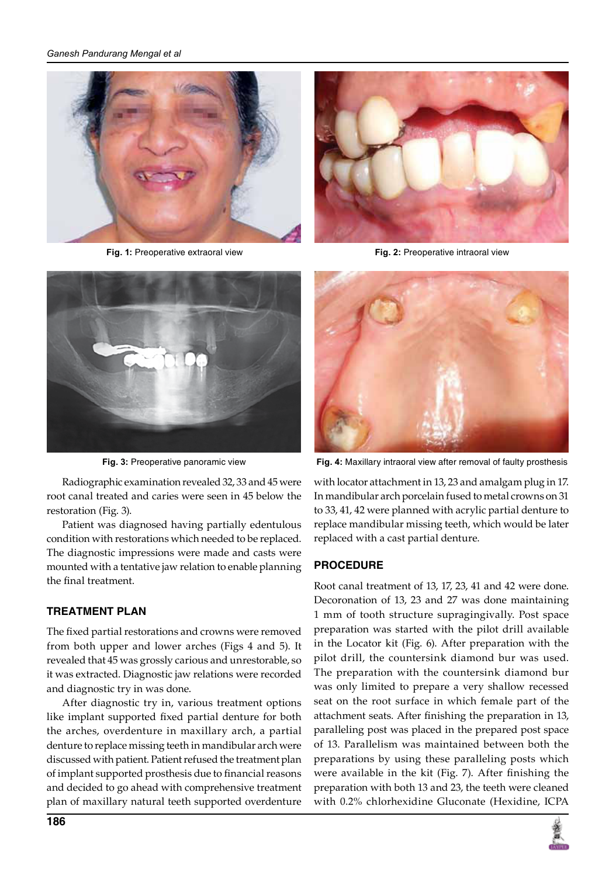#### *Ganesh Pandurang Mengal et al*



**Fig. 1:** Preoperative extraoral view **Fig. 2:** Preoperative intraoral view



Radiographic examination revealed 32, 33 and 45 were root canal treated and caries were seen in 45 below the restoration (Fig. 3).

Patient was diagnosed having partially edentulous condition with restorations which needed to be replaced. The diagnostic impressions were made and casts were mounted with a tentative jaw relation to enable planning the final treatment.

### **TREATMENT PLAN**

The fixed partial restorations and crowns were removed from both upper and lower arches (Figs 4 and 5). It revealed that 45 was grossly carious and unrestorable, so it was extracted. Diagnostic jaw relations were recorded and diagnostic try in was done.

After diagnostic try in, various treatment options like implant supported fixed partial denture for both the arches, overdenture in maxillary arch, a partial denture to replace missing teeth in mandibular arch were discussed with patient. Patient refused the treatment plan of implant supported prosthesis due to financial reasons and decided to go ahead with comprehensive treatment plan of maxillary natural teeth supported overdenture





**Fig. 3:** Preoperative panoramic view **Fig. 4:** Maxillary intraoral view after removal of faulty prosthesis

with locator attachment in 13, 23 and amalgam plug in 17. In mandibular arch porcelain fused to metal crowns on 31 to 33, 41, 42 were planned with acrylic partial denture to replace mandibular missing teeth, which would be later replaced with a cast partial denture.

### **PROCEduRE**

Root canal treatment of 13, 17, 23, 41 and 42 were done. Decoronation of 13, 23 and 27 was done maintaining 1 mm of tooth structure supragingivally. Post space preparation was started with the pilot drill available in the Locator kit (Fig. 6). After preparation with the pilot drill, the countersink diamond bur was used. The preparation with the countersink diamond bur was only limited to prepare a very shallow recessed seat on the root surface in which female part of the attachment seats. After finishing the preparation in 13, paralleling post was placed in the prepared post space of 13. Parallelism was maintained between both the preparations by using these paralleling posts which were available in the kit (Fig. 7). After finishing the preparation with both 13 and 23, the teeth were cleaned with 0.2% chlorhexidine Gluconate (Hexidine, ICPA

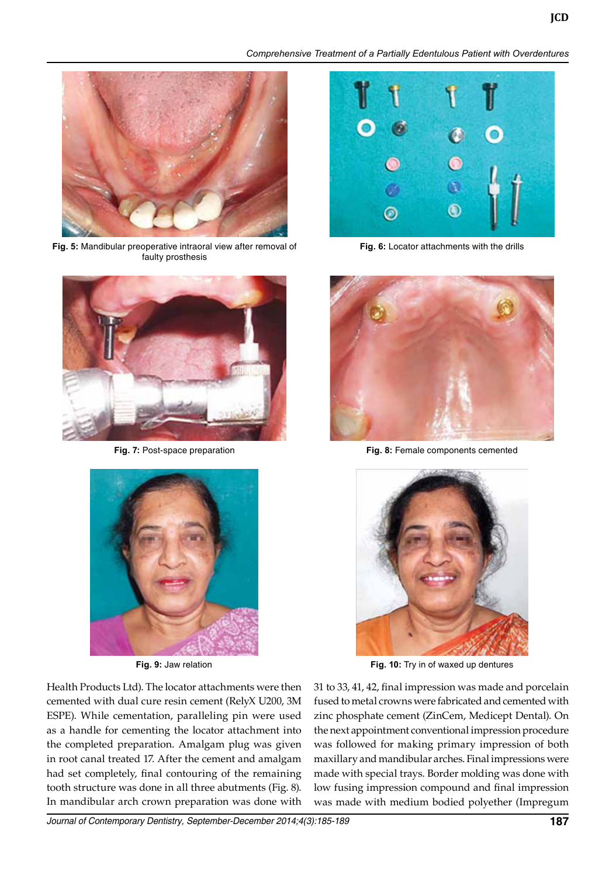*Comprehensive Treatment of a Partially Edentulous Patient with Overdentures*



**Fig. 5:** Mandibular preoperative intraoral view after removal of faulty prosthesis





**Fig. 9:** Jaw relation

Health Products Ltd). The locator attachments were then cemented with dual cure resin cement (RelyX U200, 3M ESPE). While cementation, paralleling pin were used as a handle for cementing the locator attachment into the completed preparation. Amalgam plug was given in root canal treated 17. After the cement and amalgam had set completely, final contouring of the remaining tooth structure was done in all three abutments (Fig. 8). In mandibular arch crown preparation was done with



**Fig. 6:** Locator attachments with the drills



**Fig. 7:** Post-space preparation **Fig. 8:** Female components cemented



**Fig. 10:** Try in of waxed up dentures

31 to 33, 41, 42, final impression was made and porcelain fused to metal crowns were fabricated and cemented with zinc phosphate cement (ZinCem, Medicept Dental). On the next appointment conventional impression procedure was followed for making primary impression of both maxillary and mandibular arches. Final impressions were made with special trays. Border molding was done with low fusing impression compound and final impression was made with medium bodied polyether (Impregum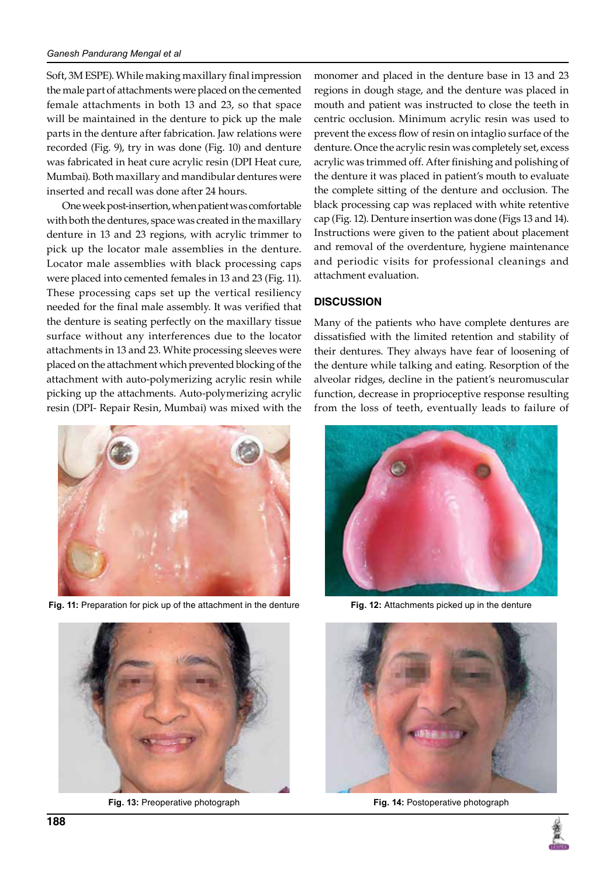#### *Ganesh Pandurang Mengal et al*

Soft, 3M ESPE). While making maxillary final impression the male part of attachments were placed on the cemented female attachments in both 13 and 23, so that space will be maintained in the denture to pick up the male parts in the denture after fabrication. Jaw relations were recorded (Fig. 9), try in was done (Fig. 10) and denture was fabricated in heat cure acrylic resin (DPI Heat cure, Mumbai). Both maxillary and mandibular dentures were inserted and recall was done after 24 hours.

One week post-insertion, when patient was comfortable with both the dentures, space was created in the maxillary denture in 13 and 23 regions, with acrylic trimmer to pick up the locator male assemblies in the denture. Locator male assemblies with black processing caps were placed into cemented females in 13 and 23 (Fig. 11). These processing caps set up the vertical resiliency needed for the final male assembly. It was verified that the denture is seating perfectly on the maxillary tissue surface without any interferences due to the locator attachments in 13 and 23. White processing sleeves were placed on the attachment which prevented blocking of the attachment with auto-polymerizing acrylic resin while picking up the attachments. Auto-polymerizing acrylic resin (DPI- Repair Resin, Mumbai) was mixed with the



**Fig. 11:** Preparation for pick up of the attachment in the denture **Fig. 12:** Attachments picked up in the denture



monomer and placed in the denture base in 13 and 23 regions in dough stage, and the denture was placed in mouth and patient was instructed to close the teeth in centric occlusion. Minimum acrylic resin was used to prevent the excess flow of resin on intaglio surface of the denture. Once the acrylic resin was completely set, excess acrylic was trimmed off. After finishing and polishing of the denture it was placed in patient's mouth to evaluate the complete sitting of the denture and occlusion. The black processing cap was replaced with white retentive cap (Fig. 12). Denture insertion was done (Figs 13 and 14). Instructions were given to the patient about placement and removal of the overdenture, hygiene maintenance and periodic visits for professional cleanings and attachment evaluation.

### **dISCuSSION**

Many of the patients who have complete dentures are dissatisfied with the limited retention and stability of their dentures. They always have fear of loosening of the denture while talking and eating. Resorption of the alveolar ridges, decline in the patient's neuromuscular function, decrease in proprioceptive response resulting from the loss of teeth, eventually leads to failure of





**Fig. 13:** Preoperative photograph **Fig. 14:** Postoperative photograph